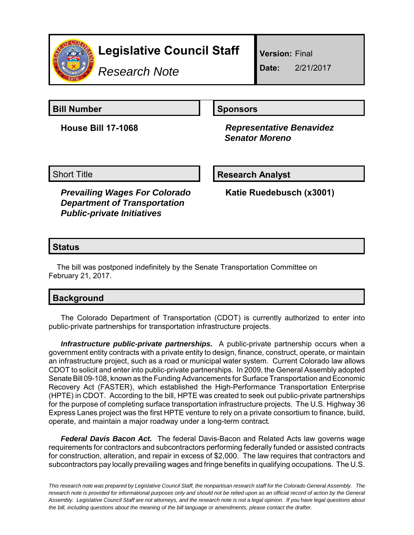

# **Legislative Council Staff**

*Research Note*

**Version:** Final

**Date:** 2/21/2017

**Bill Number Sponsors** 

**House Bill 17-1068** *Representative Benavidez Senator Moreno*

Short Title **Research Analyst** 

*Prevailing Wages For Colorado Department of Transportation Public-private Initiatives*

**Katie Ruedebusch (x3001)**

# **Status**

The bill was postponed indefinitely by the Senate Transportation Committee on February 21, 2017.

| <b>Background</b> |  |
|-------------------|--|
|                   |  |

The Colorado Department of Transportation (CDOT) is currently authorized to enter into public-private partnerships for transportation infrastructure projects.

*Infrastructure public-private partnerships.* A public-private partnership occurs when a government entity contracts with a private entity to design, finance, construct, operate, or maintain an infrastructure project, such as a road or municipal water system. Current Colorado law allows CDOT to solicit and enter into public-private partnerships. In 2009, the General Assembly adopted Senate Bill 09-108, known as the Funding Advancements for Surface Transportation and Economic Recovery Act (FASTER), which established the High-Performance Transportation Enterprise (HPTE) in CDOT. According to the bill, HPTE was created to seek out public-private partnerships for the purpose of completing surface transportation infrastructure projects. The U.S. Highway 36 Express Lanes project was the first HPTE venture to rely on a private consortium to finance, build, operate, and maintain a major roadway under a long-term contract*.* 

*Federal Davis Bacon Act.* The federal Davis-Bacon and Related Acts law governs wage requirements for contractors and subcontractors performing federally funded or assisted contracts for construction, alteration, and repair in excess of \$2,000. The law requires that contractors and subcontractors pay locally prevailing wages and fringe benefits in qualifying occupations. The U.S.

*This research note was prepared by Legislative Council Staff, the nonpartisan research staff for the Colorado General Assembly. The research note is provided for informational purposes only and should not be relied upon as an official record of action by the General Assembly. Legislative Council Staff are not attorneys, and the research note is not a legal opinion. If you have legal questions about the bill, including questions about the meaning of the bill language or amendments, please contact the drafter.*